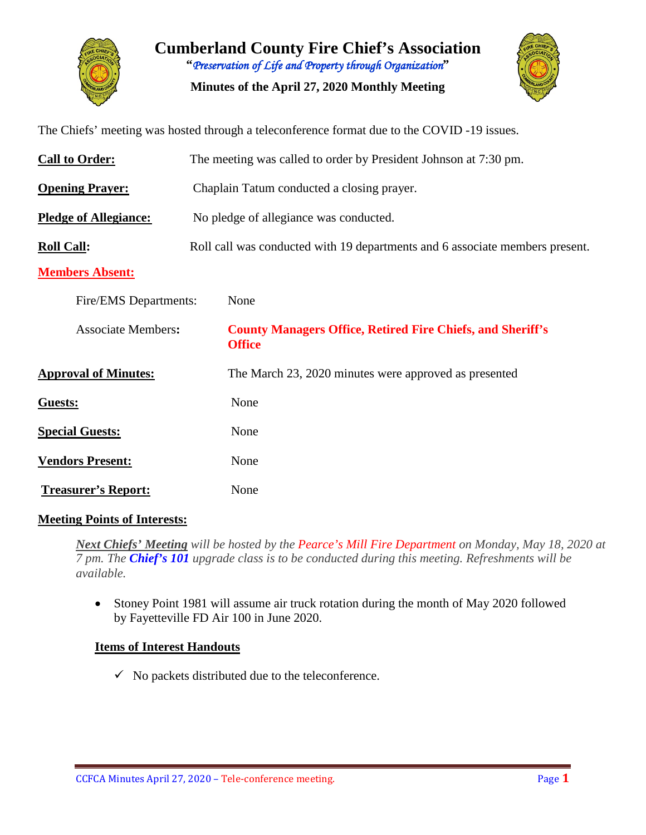

**Cumberland County Fire Chief's Association "***Preservation of Life and Property through Organization***"**

**Minutes of the April 27, 2020 Monthly Meeting**



The Chiefs' meeting was hosted through a teleconference format due to the COVID -19 issues.

| <b>Call to Order:</b>        | The meeting was called to order by President Johnson at 7:30 pm.                   |  |  |  |  |  |  |  |
|------------------------------|------------------------------------------------------------------------------------|--|--|--|--|--|--|--|
| <b>Opening Prayer:</b>       | Chaplain Tatum conducted a closing prayer.                                         |  |  |  |  |  |  |  |
| <b>Pledge of Allegiance:</b> | No pledge of allegiance was conducted.                                             |  |  |  |  |  |  |  |
| <b>Roll Call:</b>            | Roll call was conducted with 19 departments and 6 associate members present.       |  |  |  |  |  |  |  |
| <b>Members Absent:</b>       |                                                                                    |  |  |  |  |  |  |  |
| Fire/EMS Departments:        | None                                                                               |  |  |  |  |  |  |  |
| <b>Associate Members:</b>    | <b>County Managers Office, Retired Fire Chiefs, and Sheriff's</b><br><b>Office</b> |  |  |  |  |  |  |  |
| <b>Approval of Minutes:</b>  | The March 23, 2020 minutes were approved as presented                              |  |  |  |  |  |  |  |
| Guests:                      | None                                                                               |  |  |  |  |  |  |  |
| <b>Special Guests:</b>       | None                                                                               |  |  |  |  |  |  |  |
| <b>Vendors Present:</b>      | None                                                                               |  |  |  |  |  |  |  |
| <b>Treasurer's Report:</b>   | None                                                                               |  |  |  |  |  |  |  |

### **Meeting Points of Interests:**

*Next Chiefs' Meeting will be hosted by the Pearce's Mill Fire Department on Monday, May 18, 2020 at 7 pm. The Chief's 101 upgrade class is to be conducted during this meeting. Refreshments will be available.*

• Stoney Point 1981 will assume air truck rotation during the month of May 2020 followed by Fayetteville FD Air 100 in June 2020.

### **Items of Interest Handouts**

 $\checkmark$  No packets distributed due to the teleconference.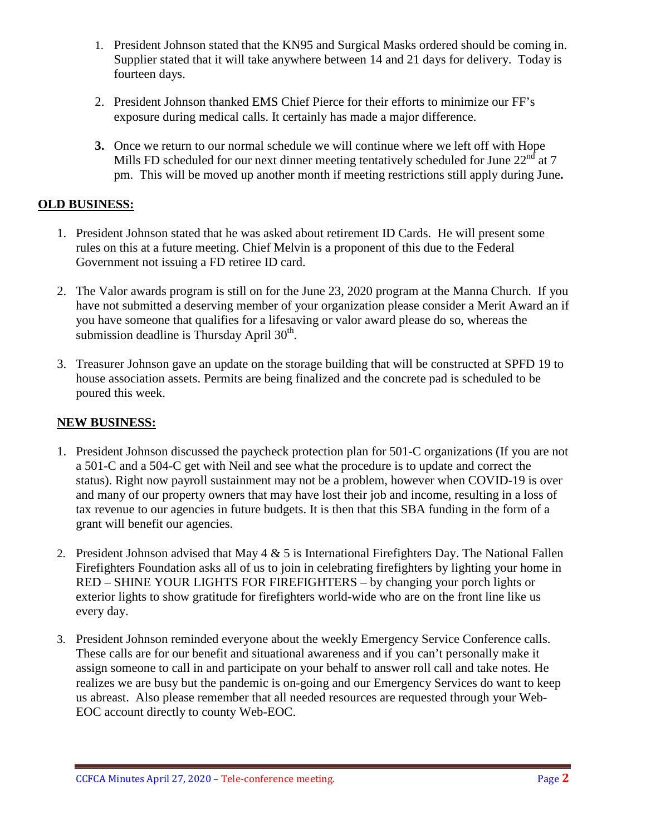- 1. President Johnson stated that the KN95 and Surgical Masks ordered should be coming in. Supplier stated that it will take anywhere between 14 and 21 days for delivery. Today is fourteen days.
- 2. President Johnson thanked EMS Chief Pierce for their efforts to minimize our FF's exposure during medical calls. It certainly has made a major difference.
- **3.** Once we return to our normal schedule we will continue where we left off with Hope Mills FD scheduled for our next dinner meeting tentatively scheduled for June  $22<sup>nd</sup>$  at 7 pm. This will be moved up another month if meeting restrictions still apply during June**.**

### **OLD BUSINESS:**

- 1. President Johnson stated that he was asked about retirement ID Cards. He will present some rules on this at a future meeting. Chief Melvin is a proponent of this due to the Federal Government not issuing a FD retiree ID card.
- 2. The Valor awards program is still on for the June 23, 2020 program at the Manna Church. If you have not submitted a deserving member of your organization please consider a Merit Award an if you have someone that qualifies for a lifesaving or valor award please do so, whereas the submission deadline is Thursday April  $30<sup>th</sup>$ .
- 3. Treasurer Johnson gave an update on the storage building that will be constructed at SPFD 19 to house association assets. Permits are being finalized and the concrete pad is scheduled to be poured this week.

# **NEW BUSINESS:**

- 1. President Johnson discussed the paycheck protection plan for 501-C organizations (If you are not a 501-C and a 504-C get with Neil and see what the procedure is to update and correct the status). Right now payroll sustainment may not be a problem, however when COVID-19 is over and many of our property owners that may have lost their job and income, resulting in a loss of tax revenue to our agencies in future budgets. It is then that this SBA funding in the form of a grant will benefit our agencies.
- 2. President Johnson advised that May  $4 \& 5$  is International Firefighters Day. The National Fallen Firefighters Foundation asks all of us to join in celebrating firefighters by lighting your home in RED – SHINE YOUR LIGHTS FOR FIREFIGHTERS – by changing your porch lights or exterior lights to show gratitude for firefighters world-wide who are on the front line like us every day.
- 3. President Johnson reminded everyone about the weekly Emergency Service Conference calls. These calls are for our benefit and situational awareness and if you can't personally make it assign someone to call in and participate on your behalf to answer roll call and take notes. He realizes we are busy but the pandemic is on-going and our Emergency Services do want to keep us abreast. Also please remember that all needed resources are requested through your Web-EOC account directly to county Web-EOC.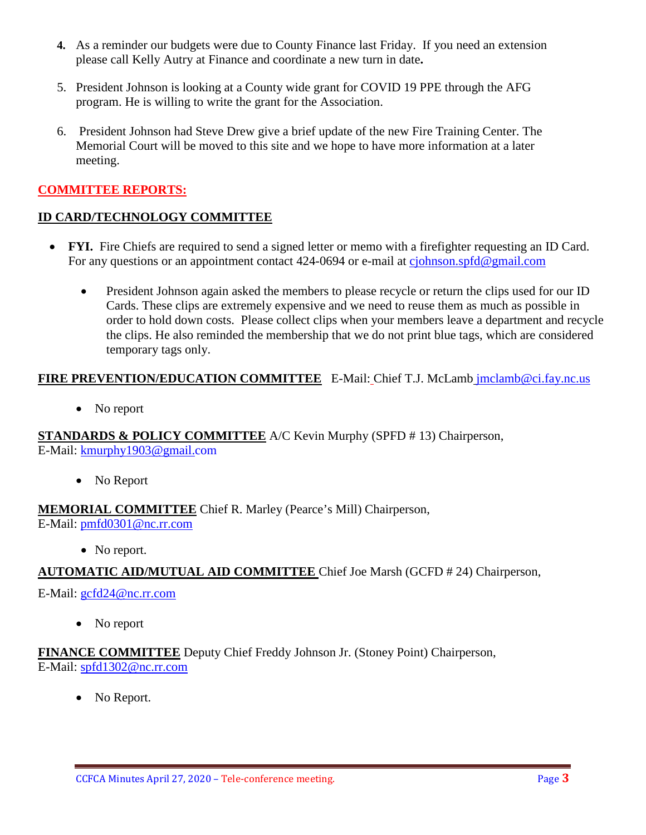- **4.** As a reminder our budgets were due to County Finance last Friday. If you need an extension please call Kelly Autry at Finance and coordinate a new turn in date**.**
- 5. President Johnson is looking at a County wide grant for COVID 19 PPE through the AFG program. He is willing to write the grant for the Association.
- 6. President Johnson had Steve Drew give a brief update of the new Fire Training Center. The Memorial Court will be moved to this site and we hope to have more information at a later meeting.

# **COMMITTEE REPORTS:**

### **ID CARD/TECHNOLOGY COMMITTEE**

- **FYI.** Fire Chiefs are required to send a signed letter or memo with a firefighter requesting an ID Card. For any questions or an appointment contact 424-0694 or e-mail at [cjohnson.spfd@gmail.com](mailto:cjohnson.spfd@gmail.com)
	- President Johnson again asked the members to please recycle or return the clips used for our ID Cards. These clips are extremely expensive and we need to reuse them as much as possible in order to hold down costs. Please collect clips when your members leave a department and recycle the clips. He also reminded the membership that we do not print blue tags, which are considered temporary tags only.

# **FIRE PREVENTION/EDUCATION COMMITTEE** E-Mail: Chief T.J. McLamb [jmclamb@ci.fay.nc.us](mailto:jmclamb@ci.fay.nc.us)

• No report

**STANDARDS & POLICY COMMITTEE** A/C Kevin Murphy (SPFD # 13) Chairperson, E-Mail: [kmurphy1903@gmail.com](mailto:kmurphy1903@gmail.com)

• No Report

**MEMORIAL COMMITTEE** Chief R. Marley (Pearce's Mill) Chairperson, E-Mail: [pmfd0301@nc.rr.com](mailto:pmfd0301@nc.rr.com)

• No report.

**AUTOMATIC AID/MUTUAL AID COMMITTEE** Chief Joe Marsh (GCFD # 24) Chairperson,

E-Mail: [gcfd24@nc.rr.com](mailto:gcfd24@nc.rr.com)

• No report

**FINANCE COMMITTEE** Deputy Chief Freddy Johnson Jr. (Stoney Point) Chairperson, E-Mail: [spfd1302@nc.rr.com](mailto:spfd1302@nc.rr.com)

• No Report.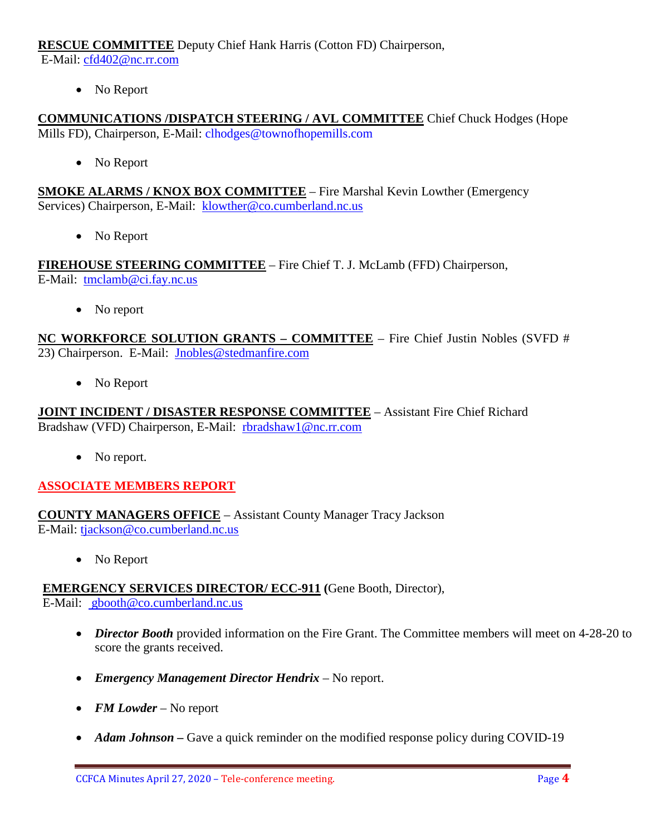**RESCUE COMMITTEE** Deputy Chief Hank Harris (Cotton FD) Chairperson,

E-Mail: [cfd402@nc.rr.com](mailto:cfd402@nc.rr.com)

• No Report

**COMMUNICATIONS /DISPATCH STEERING / AVL COMMITTEE** Chief Chuck Hodges (Hope Mills FD), Chairperson, E-Mail: clhodges@townofhopemills.com

• No Report

**SMOKE ALARMS / KNOX BOX COMMITTEE** – Fire Marshal Kevin Lowther (Emergency Services) Chairperson, E-Mail: [klowther@co.cumberland.nc.us](mailto:klowther@co.cumberland.nc.us)

• No Report

**FIREHOUSE STEERING COMMITTEE** – Fire Chief T. J. McLamb (FFD) Chairperson, E-Mail: [tmclamb@ci.fay.nc.us](mailto:tmclamb@ci.fay.nc.us)

• No report

**NC WORKFORCE SOLUTION GRANTS – COMMITTEE** – Fire Chief Justin Nobles (SVFD # 23) Chairperson. E-Mail: [Jnobles@stedmanfire.com](mailto:Jnobles@stedmanfire.com)

• No Report

**JOINT INCIDENT / DISASTER RESPONSE COMMITTEE** – Assistant Fire Chief Richard Bradshaw (VFD) Chairperson, E-Mail: [rbradshaw1@nc.rr.com](mailto:rbradshaw1@nc.rr.com)

• No report.

# **ASSOCIATE MEMBERS REPORT**

**COUNTY MANAGERS OFFICE** – Assistant County Manager Tracy Jackson E-Mail: [tjackson@co.cumberland.nc.us](mailto:tjackson@co.cumberland.nc.us)

• No Report

**EMERGENCY SERVICES DIRECTOR/ ECC-911 (**Gene Booth, Director), E-Mail: [gbooth@co.cumberland.nc.us](mailto:gbooth@co.cumberland.nc.us)

- *Director Booth* provided information on the Fire Grant. The Committee members will meet on 4-28-20 to score the grants received.
- *Emergency Management Director Hendrix* No report.
- *FM Lowder* No report
- *Adam Johnson* Gave a quick reminder on the modified response policy during COVID-19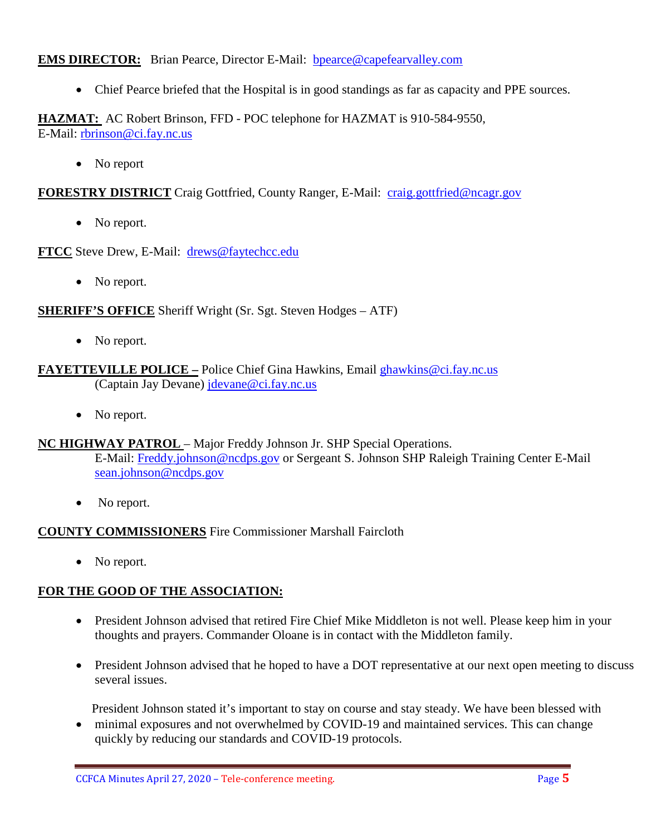**EMS DIRECTOR:** Brian Pearce, Director E-Mail: bpearce@capefearvalley.com

• Chief Pearce briefed that the Hospital is in good standings as far as capacity and PPE sources.

**HAZMAT:** AC Robert Brinson, FFD - POC telephone for HAZMAT is 910-584-9550, E-Mail: [rbrinson@ci.fay.nc.us](mailto:rbrinson@ci.fay.nc.us)

• No report

**FORESTRY DISTRICT** Craig Gottfried, County Ranger, E-Mail: [craig.gottfried@ncagr.gov](mailto:craig.gottfried@ncagr.gov)

• No report.

**FTCC** Steve Drew, E-Mail: [drews@faytechcc.edu](mailto:drews@faytechcc.edu)

• No report.

**SHERIFF'S OFFICE** Sheriff Wright (Sr. Sgt. Steven Hodges – ATF)

• No report.

#### **FAYETTEVILLE POLICE –** Police Chief Gina Hawkins, Email [ghawkins@ci.fay.nc.us](mailto:ghawkins@ci.fay.nc.us)  (Captain Jay Devane) [jdevane@ci.fay.nc.us](mailto:jdevane@ci.fay.nc.us)

• No report.

#### **NC HIGHWAY PATROL** – Major Freddy Johnson Jr. SHP Special Operations.

E-Mail: [Freddy.johnson@ncdps.gov](mailto:Freddy.johnson@ncdps.gov) or Sergeant S. Johnson SHP Raleigh Training Center E-Mail [sean.johnson@ncdps.gov](mailto:sean.johnson@ncdps.gov)

• No report.

### **COUNTY COMMISSIONERS** Fire Commissioner Marshall Faircloth

• No report.

### **FOR THE GOOD OF THE ASSOCIATION:**

- President Johnson advised that retired Fire Chief Mike Middleton is not well. Please keep him in your thoughts and prayers. Commander Oloane is in contact with the Middleton family.
- President Johnson advised that he hoped to have a DOT representative at our next open meeting to discuss several issues.

President Johnson stated it's important to stay on course and stay steady. We have been blessed with

• minimal exposures and not overwhelmed by COVID-19 and maintained services. This can change quickly by reducing our standards and COVID-19 protocols.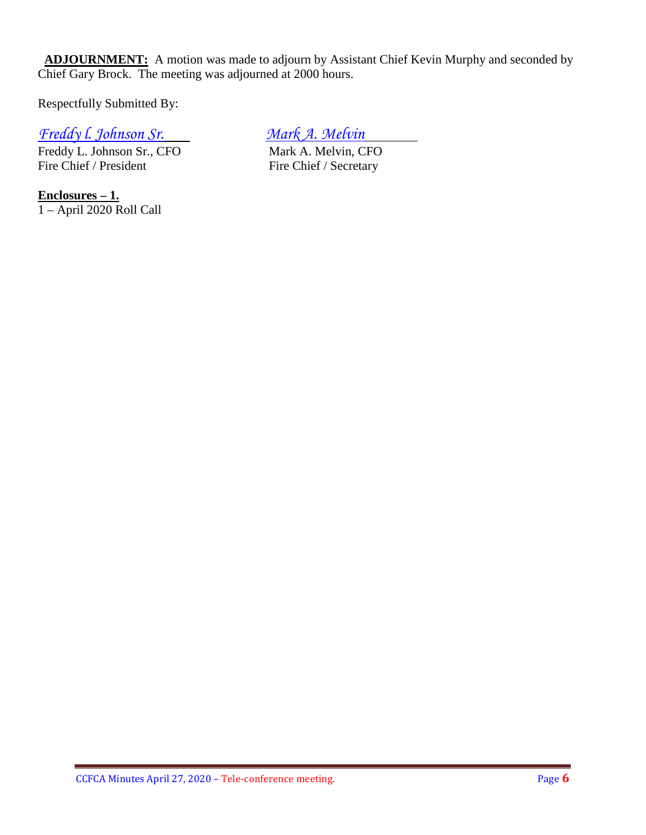**ADJOURNMENT:** A motion was made to adjourn by Assistant Chief Kevin Murphy and seconded by Chief Gary Brock. The meeting was adjourned at 2000 hours.

Respectfully Submitted By:

# *Freddy l. Johnson Sr. Mark A. Melvin*

Freddy L. Johnson Sr., CFO<br>
Fire Chief / President<br>
Fire Chief / Secretary

**Enclosures – 1.** 1 – April 2020 Roll Call

Fire Chief / Secretary